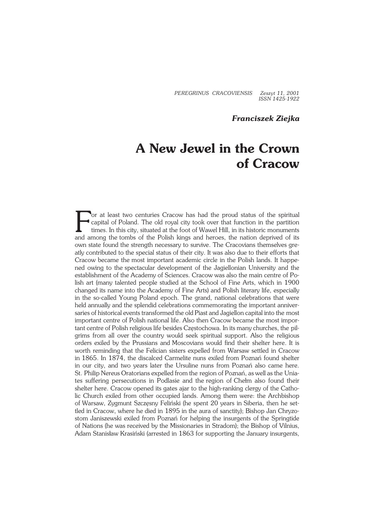*PEREGRINUS CRACOVIENSIS Zeszyt 11, 2001 ISSN 1425−1922*

## *Franciszek Ziejka*

## **A New Jewel in the Crown of Cracow**

F or at least two centuries Cracow has had the proud status of the spiritual capital of Poland. The old royal city took over that function in the partition times. In this city, situated at the foot of Wawel Hill, in its historic monuments and among the tombs of the Polish kings and heroes, the nation deprived of its own state found the strength necessary to survive. The Cracovians themselves gre− atly contributed to the special status of their city. It was also due to their efforts that Cracow became the most important academic circle in the Polish lands. It happened owing to the spectacular development of the Jagiellonian University and the establishment of the Academy of Sciences. Cracow was also the main centre of Polish art (many talented people studied at the School of Fine Arts, which in 1900 changed its name into theAcademy of Fine Arts) and Polish literary life, especially in the so−called Young Poland epoch. The grand, national celebrations that were held annually and the splendid celebrations commemorating the important anniversaries of historical events transformed the old Piast and Jagiellon capital into the most important centre of Polish national life. Also then Cracow became the most impor− tant centre of Polish religious life besides Czestochowa. In its many churches, the pil− grims from all over the country would seek spiritual support. Also the religious orders exiled by the Prussians andMoscovians would find their shelter here. It is worth reminding that the Felician sisters expelled from Warsaw settled in Cracow in 1865. In 1874, the discalced Carmelite nuns exiled from Poznań found shelter in our city, and two years later the Ursuline nuns from Poznań also came here. St. Philip Nereus Oratorians expelled from the region of Poznań, as well as the Uniates suffering persecutions in Podlasie and the region of Chełm also found their shelter here. Cracow opened its gates ajar to the high−ranking clergy of the Catho− lic Church exiled from other occupied lands. Among them were: the Archbishop of Warsaw, Zygmunt Szczesny Feliński (he spent 20 years in Siberia, then he set− tled in Cracow, where he died in 1895 in the aura of sanctity); Bishop Jan Chryzo− stom Janiszewski exiled from Poznań for helping the insurgents ofthe Springtide of Nations (he was received by the Missionaries in Stradom); the Bishop of Vilnius, Adam Stanisław Krasiński (arrested in 1863 for supporting the January insurgents,